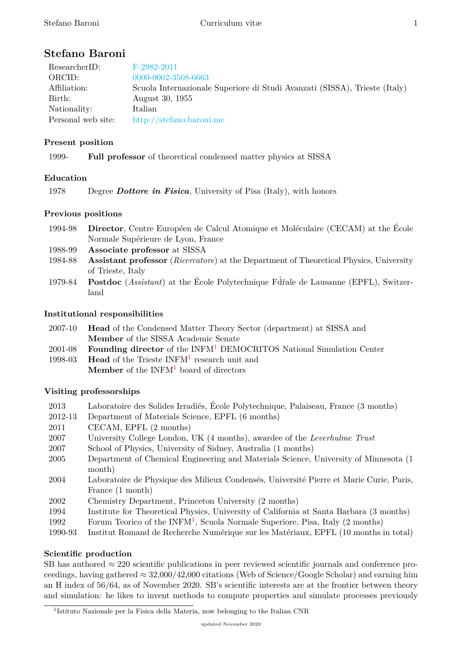# **Stefano Baroni**

| ResearcherID:      | $F-2982-2011$                                                              |
|--------------------|----------------------------------------------------------------------------|
| ORCID:             | 0000-0002-3508-6663                                                        |
| Affiliation:       | Scuola Internazionale Superiore di Studi Avanzati (SISSA), Trieste (Italy) |
| Birth:             | August 30, 1955                                                            |
| Nationality:       | Italian                                                                    |
| Personal web site: | http://stefano.baroni.me                                                   |

## **Present position**

1999- **Full professor** [of theoretical conden](http://stefano.baroni.me)sed matter physics at SISSA

## **Education**

1978 Degree *Dottore in Fisica*, University of Pisa (Italy), with honors

## **Previous positions**

- 1994-98 **Director**, Centre Européen de Calcul Atomique et Moléculaire (CECAM) at the École Normale Supérieure de Lyon, France
- 1988-99 **Associate professor** at SISSA
- 1984-88 **Assistant professor** (*Ricercatore*) at the Department of Theoretical Physics, University of Trieste, Italy
- 1979-84 **Postdoc** (*Assistant*) at the École Polytechnique Fdŕale de Lausanne (EPFL), Switzer- ´ land

## **Institutional responsibilities**

| 2007-10 <b>Head</b> of the Condensed Matter Theory Sector (department) at SISSA and |
|-------------------------------------------------------------------------------------|
| <b>Member</b> of the SISSA Academic Senate                                          |

- 2001-08 **Founding director** of the INFM<sup>1</sup> DEMOCRITOS National Simulation Center
- <span id="page-0-0"></span>1998-03 **Head** of the Trieste INFM<sup>1</sup> research unit and **Member** of the INFM<sup>1</sup> board of directors

## **Visiting professorships**

- 2013 Laboratoire des Solide[s I](#page-0-0)rradiés, École Polytechnique, Palaiseau, France (3 months)
- 2012-13 Department of Materials Science, EPFL (6 months)
- 2011 CECAM, EPFL (2 months)
- 2007 University College London, UK (4 months), awardee of the *Leverhulme Trust*
- 2007 School of Physics, University of Sidney, Australia (1 months)
- 2005 Department of Chemical Engineering and Materials Science, University of Minnesota (1 month)
- 2004 Laboratoire de Physique des Milieux Condensés, Université Pierre et Marie Curie, Paris, France (1 month)
- 2002 Chemistry Department, Princeton University (2 months)
- 1994 Institute for Theoretical Physics, University of California at Santa Barbara (3 months)
- 1992 Forum Teorico of the INFM<sup>1</sup>, Scuola Normale Superiore, Pisa, Italy  $(2 \text{ months})$
- 1990-93 Institut Romand de Recherche Numérique sur les Matériaux, EPFL (10 months in total)

## **Scientific production**

SB has authored *≈* 220 scientific public[at](#page-0-0)ions in peer reviewed scientific journals and conference proceedings, having gathered *≈* 32,000/42,000 citations (Web of Science/Google Scholar) and earning him an H index of 56/64, as of November 2020. SB's scientific interests are at the frontier between theory and simulation: he likes to invent methods to compute properties and simulate processes previously

<sup>&</sup>lt;sup>1</sup>Istituto Nazionale per la Fisica della Materia, now belonging to the Italian CNR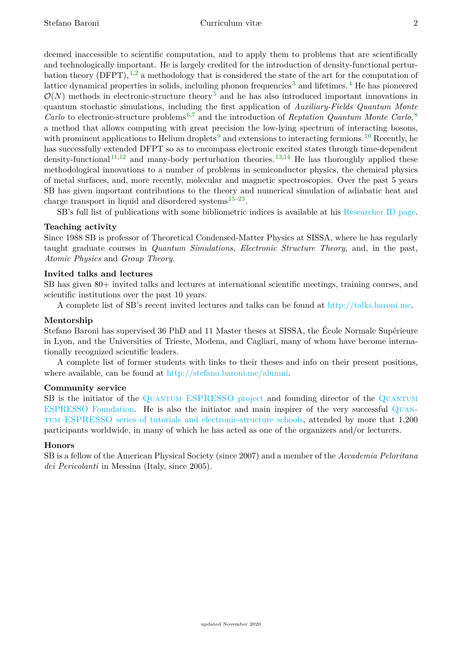deemed inaccessible to scientific computation, and to apply them to problems that are scientifically and technologically important. He is largely credited for the introduction of density-functional perturbation theory  $(DFPT)$ , <sup>1,2</sup> a methodology that is considered the state of the art for the computation of lattice dynamical properties in solids, including phonon frequencies<sup>3</sup> and lifetimes.<sup>4</sup> He has pioneered  $\mathcal{O}(N)$  methods in electronic-structure theory<sup>5</sup> and he has also introduced important innovations in quantum stochastic si[m](#page-2-0)[ul](#page-2-1)ations, including the first application of *Auxiliary-Fields Quantum Monte Carlo* to electronic-structure problems 6,7 and the introduction of *[Re](#page-2-2)ptation Quan[tu](#page-2-3)m Monte Carlo*, 8 a method that allows computing with great [p](#page-2-4)recision the low-lying spectrum of interacting bosons, with prominent applications to Helium droplets<sup>9</sup> and extensions to interacting fermions.<sup>10</sup> Recently, he has successfully extended DFPT so as [t](#page-2-5)[o](#page-2-6) encompass electronic excited states through time-depende[nt](#page-2-7) density-functional  $1^{1,12}$  and many-body perturbation theories.  $1^{3,14}$  He has thoroughly applied these methodological innovations to a number of pr[ob](#page-2-8)lems in semiconductor physics, the ch[em](#page-2-9)ical physics of metal surfaces, and, more recently, molecular and magnetic spectroscopies. Over the past 5 years SB has given imp[or](#page-2-10)[tan](#page-2-11)t contributions to the theory and num[eri](#page-2-12)[ca](#page-2-13)l simulation of adiabatic heat and charge transport in liquid and disordered systems  $15-23$ .

SB's full list of publications with some bibliometric indices is available at his Researcher ID page.

#### **Teaching activity**

Since 1988 SB is professor of Theoretical Condens[ed](#page-2-14)[-M](#page-2-15)atter Physics at SISSA, where he has regularly taught graduate courses in *Quantum Simulations*, *Electronic Structure Theory*[, and, in the past,](http://www.researcherid.com/rid/F-2982-2011) *Atomic Physics* and *Group Theory*.

#### **Invited talks and lectures**

SB has given 80+ invited talks and lectures at international scientific meetings, training courses, and scientific institutions over the past 10 years.

A complete list of SB's recent invited lectures and talks can be found at http://talks.baroni.me.

#### **Mentorship**

Stefano Baroni has supervised 36 PhD and 11 Master theses at SISSA, the École Normale Supérieure in Lyon, and the Universities of Trieste, Modena, and Cagliari, many of wh[om have become interna](http://talks.baroni.me)tionally recognized scientific leaders.

A complete list of former students with links to their theses and info on their present positions, where available, can be found at http://stefano.baroni.me/alumni.

#### **Community service**

SB is the initiator of the QUANTUM ESPRESSO project and founding director of the QUANTUM ESPRESSO Foundation. He is [also the initiator and main insp](http://stefano.baroni.me/alumni)irer of the very successful Quantum ESPRESSO series of tutorials and electronic-structure schools, attended by more that 1,200 participants worldwide, in [many of which he has acted as on](http://www.quantum-espresso.org)e of the organizers and/or lec[turers.](http://foundation.quantum-espresso.org)

#### **[Honors](http://foundation.quantum-espresso.org)**

[SB is a fellow of the American Physical Society \(since 2007\) and a memb](http://www.quantum-espresso.org/complete-qe-schools-workshops-and-tutorials/)er of the *Accademia Pel[oritana](http://www.quantum-espresso.org/complete-qe-schools-workshops-and-tutorials/) dei Pericolanti* in Messina (Italy, since 2005).